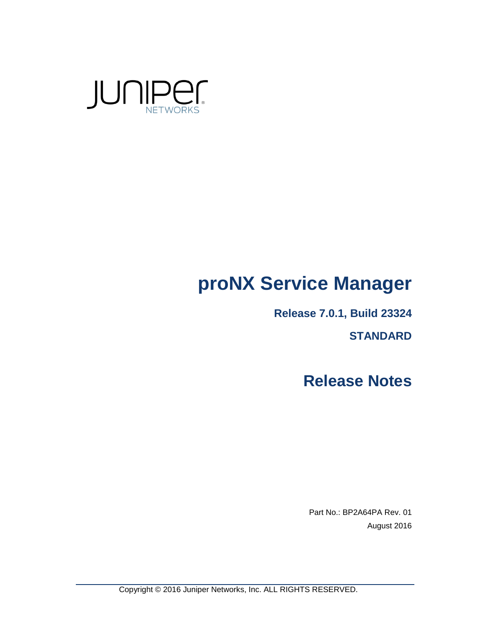

# **proNX Service Manager**

**Release 7.0.1, Build 23324**

**STANDARD**

**Release Notes**

Part No.: BP2A64PA Rev. 01 August 2016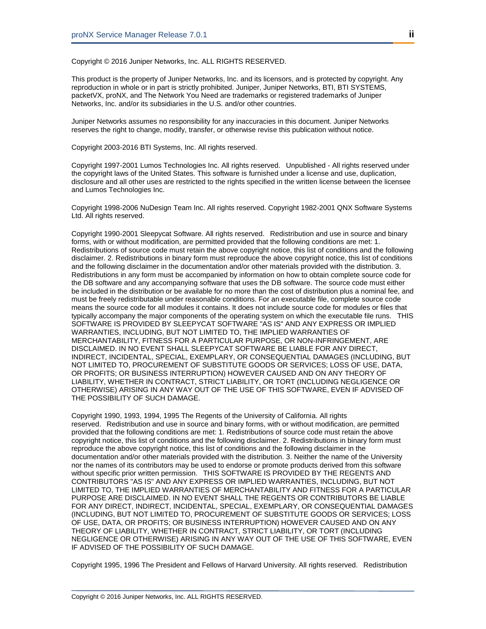Copyright © 2016 Juniper Networks, Inc. ALL RIGHTS RESERVED.

This product is the property of Juniper Networks, Inc. and its licensors, and is protected by copyright. Any reproduction in whole or in part is strictly prohibited. Juniper, Juniper Networks, BTI, BTI SYSTEMS, packetVX, proNX, and The Network You Need are trademarks or registered trademarks of Juniper Networks, Inc. and/or its subsidiaries in the U.S. and/or other countries.

Juniper Networks assumes no responsibility for any inaccuracies in this document. Juniper Networks reserves the right to change, modify, transfer, or otherwise revise this publication without notice.

Copyright 2003-2016 BTI Systems, Inc. All rights reserved.

Copyright 1997-2001 Lumos Technologies Inc. All rights reserved. Unpublished - All rights reserved under the copyright laws of the United States. This software is furnished under a license and use, duplication, disclosure and all other uses are restricted to the rights specified in the written license between the licensee and Lumos Technologies Inc.

Copyright 1998-2006 NuDesign Team Inc. All rights reserved. Copyright 1982-2001 QNX Software Systems Ltd. All rights reserved.

Copyright 1990-2001 Sleepycat Software. All rights reserved. Redistribution and use in source and binary forms, with or without modification, are permitted provided that the following conditions are met: 1. Redistributions of source code must retain the above copyright notice, this list of conditions and the following disclaimer. 2. Redistributions in binary form must reproduce the above copyright notice, this list of conditions and the following disclaimer in the documentation and/or other materials provided with the distribution. 3. Redistributions in any form must be accompanied by information on how to obtain complete source code for the DB software and any accompanying software that uses the DB software. The source code must either be included in the distribution or be available for no more than the cost of distribution plus a nominal fee, and must be freely redistributable under reasonable conditions. For an executable file, complete source code means the source code for all modules it contains. It does not include source code for modules or files that typically accompany the major components of the operating system on which the executable file runs. THIS SOFTWARE IS PROVIDED BY SLEEPYCAT SOFTWARE "AS IS" AND ANY EXPRESS OR IMPLIED WARRANTIES, INCLUDING, BUT NOT LIMITED TO, THE IMPLIED WARRANTIES OF MERCHANTABILITY, FITNESS FOR A PARTICULAR PURPOSE, OR NON-INFRINGEMENT, ARE DISCLAIMED. IN NO EVENT SHALL SLEEPYCAT SOFTWARE BE LIABLE FOR ANY DIRECT, INDIRECT, INCIDENTAL, SPECIAL, EXEMPLARY, OR CONSEQUENTIAL DAMAGES (INCLUDING, BUT NOT LIMITED TO, PROCUREMENT OF SUBSTITUTE GOODS OR SERVICES; LOSS OF USE, DATA, OR PROFITS; OR BUSINESS INTERRUPTION) HOWEVER CAUSED AND ON ANY THEORY OF LIABILITY, WHETHER IN CONTRACT, STRICT LIABILITY, OR TORT (INCLUDING NEGLIGENCE OR OTHERWISE) ARISING IN ANY WAY OUT OF THE USE OF THIS SOFTWARE, EVEN IF ADVISED OF THE POSSIBILITY OF SUCH DAMAGE.

Copyright 1990, 1993, 1994, 1995 The Regents of the University of California. All rights reserved. Redistribution and use in source and binary forms, with or without modification, are permitted provided that the following conditions are met: 1. Redistributions of source code must retain the above copyright notice, this list of conditions and the following disclaimer. 2. Redistributions in binary form must reproduce the above copyright notice, this list of conditions and the following disclaimer in the documentation and/or other materials provided with the distribution. 3. Neither the name of the University nor the names of its contributors may be used to endorse or promote products derived from this software without specific prior written permission. THIS SOFTWARE IS PROVIDED BY THE REGENTS AND CONTRIBUTORS "AS IS" AND ANY EXPRESS OR IMPLIED WARRANTIES, INCLUDING, BUT NOT LIMITED TO, THE IMPLIED WARRANTIES OF MERCHANTABILITY AND FITNESS FOR A PARTICULAR PURPOSE ARE DISCLAIMED. IN NO EVENT SHALL THE REGENTS OR CONTRIBUTORS BE LIABLE FOR ANY DIRECT, INDIRECT, INCIDENTAL, SPECIAL, EXEMPLARY, OR CONSEQUENTIAL DAMAGES (INCLUDING, BUT NOT LIMITED TO, PROCUREMENT OF SUBSTITUTE GOODS OR SERVICES; LOSS OF USE, DATA, OR PROFITS; OR BUSINESS INTERRUPTION) HOWEVER CAUSED AND ON ANY THEORY OF LIABILITY, WHETHER IN CONTRACT, STRICT LIABILITY, OR TORT (INCLUDING NEGLIGENCE OR OTHERWISE) ARISING IN ANY WAY OUT OF THE USE OF THIS SOFTWARE, EVEN IF ADVISED OF THE POSSIBILITY OF SUCH DAMAGE.

Copyright 1995, 1996 The President and Fellows of Harvard University. All rights reserved. Redistribution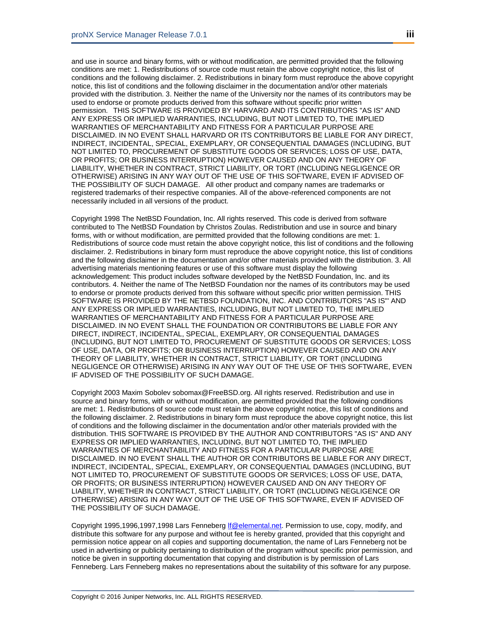and use in source and binary forms, with or without modification, are permitted provided that the following conditions are met: 1. Redistributions of source code must retain the above copyright notice, this list of conditions and the following disclaimer. 2. Redistributions in binary form must reproduce the above copyright notice, this list of conditions and the following disclaimer in the documentation and/or other materials provided with the distribution. 3. Neither the name of the University nor the names of its contributors may be used to endorse or promote products derived from this software without specific prior written permission. THIS SOFTWARE IS PROVIDED BY HARVARD AND ITS CONTRIBUTORS "AS IS" AND ANY EXPRESS OR IMPLIED WARRANTIES, INCLUDING, BUT NOT LIMITED TO, THE IMPLIED WARRANTIES OF MERCHANTABILITY AND FITNESS FOR A PARTICULAR PURPOSE ARE DISCLAIMED. IN NO EVENT SHALL HARVARD OR ITS CONTRIBUTORS BE LIABLE FOR ANY DIRECT, INDIRECT, INCIDENTAL, SPECIAL, EXEMPLARY, OR CONSEQUENTIAL DAMAGES (INCLUDING, BUT NOT LIMITED TO, PROCUREMENT OF SUBSTITUTE GOODS OR SERVICES; LOSS OF USE, DATA, OR PROFITS; OR BUSINESS INTERRUPTION) HOWEVER CAUSED AND ON ANY THEORY OF LIABILITY, WHETHER IN CONTRACT, STRICT LIABILITY, OR TORT (INCLUDING NEGLIGENCE OR OTHERWISE) ARISING IN ANY WAY OUT OF THE USE OF THIS SOFTWARE, EVEN IF ADVISED OF THE POSSIBILITY OF SUCH DAMAGE. All other product and company names are trademarks or registered trademarks of their respective companies. All of the above-referenced components are not necessarily included in all versions of the product.

Copyright 1998 The NetBSD Foundation, Inc. All rights reserved. This code is derived from software contributed to The NetBSD Foundation by Christos Zoulas. Redistribution and use in source and binary forms, with or without modification, are permitted provided that the following conditions are met: 1. Redistributions of source code must retain the above copyright notice, this list of conditions and the following disclaimer. 2. Redistributions in binary form must reproduce the above copyright notice, this list of conditions and the following disclaimer in the documentation and/or other materials provided with the distribution. 3. All advertising materials mentioning features or use of this software must display the following acknowledgement: This product includes software developed by the NetBSD Foundation, Inc. and its contributors. 4. Neither the name of The NetBSD Foundation nor the names of its contributors may be used to endorse or promote products derived from this software without specific prior written permission. THIS SOFTWARE IS PROVIDED BY THE NETBSD FOUNDATION, INC. AND CONTRIBUTORS "AS IS"' AND ANY EXPRESS OR IMPLIED WARRANTIES, INCLUDING, BUT NOT LIMITED TO, THE IMPLIED WARRANTIES OF MERCHANTABILITY AND FITNESS FOR A PARTICULAR PURPOSE ARE DISCLAIMED. IN NO EVENT SHALL THE FOUNDATION OR CONTRIBUTORS BE LIABLE FOR ANY DIRECT, INDIRECT, INCIDENTAL, SPECIAL, EXEMPLARY, OR CONSEQUENTIAL DAMAGES (INCLUDING, BUT NOT LIMITED TO, PROCUREMENT OF SUBSTITUTE GOODS OR SERVICES; LOSS OF USE, DATA, OR PROFITS; OR BUSINESS INTERRUPTION) HOWEVER CAUSED AND ON ANY THEORY OF LIABILITY, WHETHER IN CONTRACT, STRICT LIABILITY, OR TORT (INCLUDING NEGLIGENCE OR OTHERWISE) ARISING IN ANY WAY OUT OF THE USE OF THIS SOFTWARE, EVEN IF ADVISED OF THE POSSIBILITY OF SUCH DAMAGE.

Copyright 2003 Maxim Sobolev sobomax@FreeBSD.org. All rights reserved. Redistribution and use in source and binary forms, with or without modification, are permitted provided that the following conditions are met: 1. Redistributions of source code must retain the above copyright notice, this list of conditions and the following disclaimer. 2. Redistributions in binary form must reproduce the above copyright notice, this list of conditions and the following disclaimer in the documentation and/or other materials provided with the distribution. THIS SOFTWARE IS PROVIDED BY THE AUTHOR AND CONTRIBUTORS "AS IS'' AND ANY EXPRESS OR IMPLIED WARRANTIES, INCLUDING, BUT NOT LIMITED TO, THE IMPLIED WARRANTIES OF MERCHANTABILITY AND FITNESS FOR A PARTICULAR PURPOSE ARE DISCLAIMED. IN NO EVENT SHALL THE AUTHOR OR CONTRIBUTORS BE LIABLE FOR ANY DIRECT, INDIRECT, INCIDENTAL, SPECIAL, EXEMPLARY, OR CONSEQUENTIAL DAMAGES (INCLUDING, BUT NOT LIMITED TO, PROCUREMENT OF SUBSTITUTE GOODS OR SERVICES; LOSS OF USE, DATA, OR PROFITS; OR BUSINESS INTERRUPTION) HOWEVER CAUSED AND ON ANY THEORY OF LIABILITY, WHETHER IN CONTRACT, STRICT LIABILITY, OR TORT (INCLUDING NEGLIGENCE OR OTHERWISE) ARISING IN ANY WAY OUT OF THE USE OF THIS SOFTWARE, EVEN IF ADVISED OF THE POSSIBILITY OF SUCH DAMAGE.

Copyright 1995,1996,1997,1998 Lars Fenneberg [lf@elemental.net.](mailto:lf@elemental.net) Permission to use, copy, modify, and distribute this software for any purpose and without fee is hereby granted, provided that this copyright and permission notice appear on all copies and supporting documentation, the name of Lars Fenneberg not be used in advertising or publicity pertaining to distribution of the program without specific prior permission, and notice be given in supporting documentation that copying and distribution is by permission of Lars Fenneberg. Lars Fenneberg makes no representations about the suitability of this software for any purpose.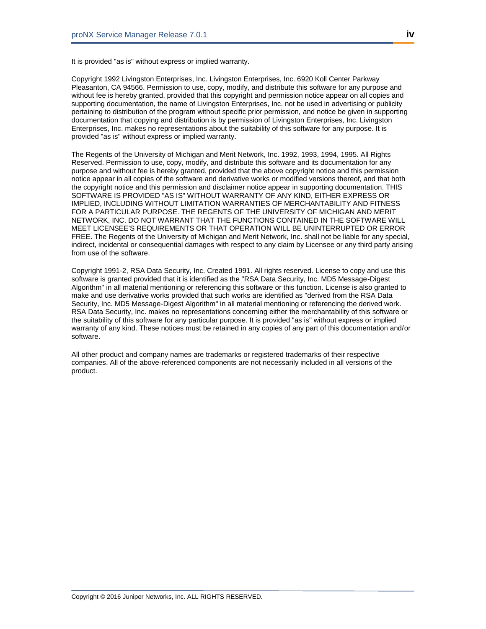It is provided "as is" without express or implied warranty.

Copyright 1992 Livingston Enterprises, Inc. Livingston Enterprises, Inc. 6920 Koll Center Parkway Pleasanton, CA 94566. Permission to use, copy, modify, and distribute this software for any purpose and without fee is hereby granted, provided that this copyright and permission notice appear on all copies and supporting documentation, the name of Livingston Enterprises, Inc. not be used in advertising or publicity pertaining to distribution of the program without specific prior permission, and notice be given in supporting documentation that copying and distribution is by permission of Livingston Enterprises, Inc. Livingston Enterprises, Inc. makes no representations about the suitability of this software for any purpose. It is provided "as is" without express or implied warranty.

The Regents of the University of Michigan and Merit Network, Inc. 1992, 1993, 1994, 1995. All Rights Reserved. Permission to use, copy, modify, and distribute this software and its documentation for any purpose and without fee is hereby granted, provided that the above copyright notice and this permission notice appear in all copies of the software and derivative works or modified versions thereof, and that both the copyright notice and this permission and disclaimer notice appear in supporting documentation. THIS SOFTWARE IS PROVIDED "AS IS" WITHOUT WARRANTY OF ANY KIND, EITHER EXPRESS OR IMPLIED, INCLUDING WITHOUT LIMITATION WARRANTIES OF MERCHANTABILITY AND FITNESS FOR A PARTICULAR PURPOSE. THE REGENTS OF THE UNIVERSITY OF MICHIGAN AND MERIT NETWORK, INC. DO NOT WARRANT THAT THE FUNCTIONS CONTAINED IN THE SOFTWARE WILL MEET LICENSEE'S REQUIREMENTS OR THAT OPERATION WILL BE UNINTERRUPTED OR ERROR FREE. The Regents of the University of Michigan and Merit Network, Inc. shall not be liable for any special, indirect, incidental or consequential damages with respect to any claim by Licensee or any third party arising from use of the software.

Copyright 1991-2, RSA Data Security, Inc. Created 1991. All rights reserved. License to copy and use this software is granted provided that it is identified as the "RSA Data Security, Inc. MD5 Message-Digest Algorithm" in all material mentioning or referencing this software or this function. License is also granted to make and use derivative works provided that such works are identified as "derived from the RSA Data Security, Inc. MD5 Message-Digest Algorithm" in all material mentioning or referencing the derived work. RSA Data Security, Inc. makes no representations concerning either the merchantability of this software or the suitability of this software for any particular purpose. It is provided "as is" without express or implied warranty of any kind. These notices must be retained in any copies of any part of this documentation and/or software.

All other product and company names are trademarks or registered trademarks of their respective companies. All of the above-referenced components are not necessarily included in all versions of the product.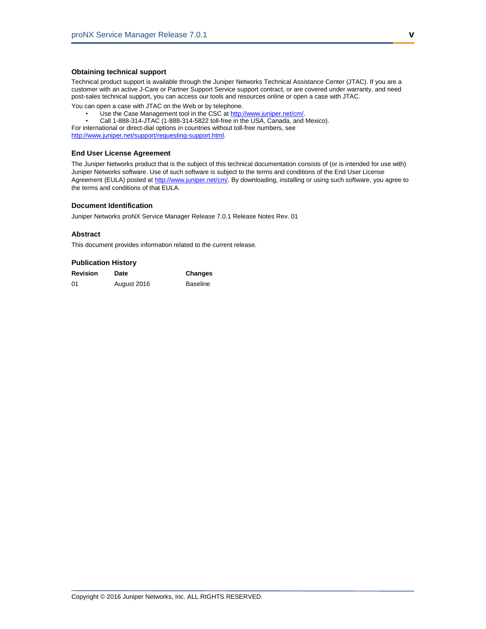#### **Obtaining technical support**

Technical product support is available through the Juniper Networks Technical Assistance Center (JTAC). If you are a customer with an active J-Care or Partner Support Service support contract, or are covered under warranty, and need post-sales technical support, you can access our tools and resources online or open a case with JTAC.

You can open a case with JTAC on the Web or by telephone.

- Use the Case Management tool in the CSC a[t http://www.juniper.net/cm/.](http://www.juniper.net/cm/)
- Call 1-888-314-JTAC (1-888-314-5822 toll-free in the USA, Canada, and Mexico).

For international or direct-dial options in countries without toll-free numbers, see [http://www.juniper.net/support/requesting-support.html.](http://www.juniper.net/support/requesting-support.html)

#### **End User License Agreement**

The Juniper Networks product that is the subject of this technical documentation consists of (or is intended for use with) Juniper Networks software. Use of such software is subject to the terms and conditions of the End User License Agreement (EULA) posted at [http://www.juniper.net/cm/.](http://www.juniper.net/cm/) By downloading, installing or using such software, you agree to the terms and conditions of that EULA.

#### **Document Identification**

Juniper Networks proNX Service Manager Release 7.0.1 Release Notes Rev. 01

### **Abstract**

This document provides information related to the current release.

#### **Publication History**

| <b>Revision</b> | Date        | <b>Changes</b>  |
|-----------------|-------------|-----------------|
| 01              | August 2016 | <b>Baseline</b> |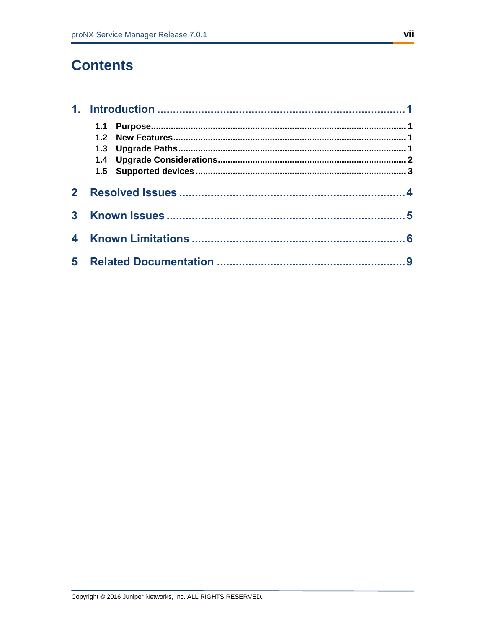## **Contents**

| 2 <sup>1</sup> |  |  |
|----------------|--|--|
| 3 <sup>1</sup> |  |  |
|                |  |  |
|                |  |  |
|                |  |  |
| 5              |  |  |
|                |  |  |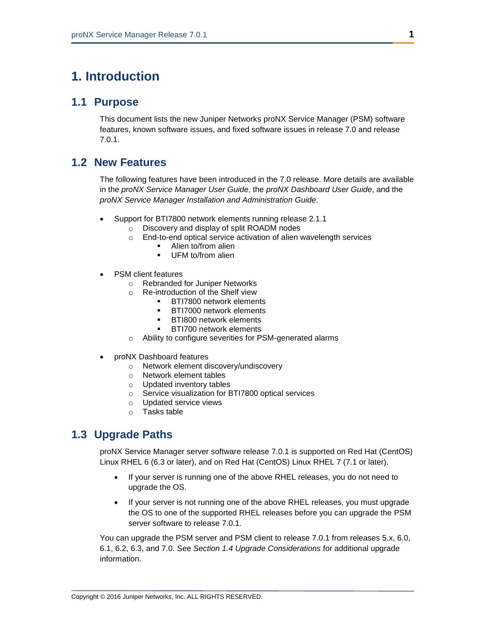## <span id="page-8-1"></span><span id="page-8-0"></span>**1. Introduction**

### **1.1 Purpose**

This document lists the new Juniper Networks proNX Service Manager (PSM) software features, known software issues, and fixed software issues in release 7.0 and release 7.0.1.

### <span id="page-8-2"></span>**1.2 New Features**

The following features have been introduced in the 7.0 release. More details are available in the *proNX Service Manager User Guide*, the *proNX Dashboard User Guide*, and the *proNX Service Manager Installation and Administration Guide*.

- Support for BTI7800 network elements running release 2.1.1
	- o Discovery and display of split ROADM nodes
	- o End-to-end optical service activation of alien wavelength services
		- Alien to/from alien
		- **UFM to/from alien**
- PSM client features
	- o Rebranded for Juniper Networks
	- o Re-introduction of the Shelf view
		- **BTI7800 network elements**
		- **BTI7000 network elements**
		- **BTI800 network elements**
		- **BTI700 network elements**
	- o Ability to configure severities for PSM-generated alarms
- proNX Dashboard features
	- o Network element discovery/undiscovery
	- o Network element tables
	- o Updated inventory tables
	- o Service visualization for BTI7800 optical services
	- o Updated service views
	- o Tasks table

### <span id="page-8-3"></span>**1.3 Upgrade Paths**

proNX Service Manager server software release 7.0.1 is supported on Red Hat (CentOS) Linux RHEL 6 (6.3 or later), and on Red Hat (CentOS) Linux RHEL 7 (7.1 or later).

- If your server is running one of the above RHEL releases, you do not need to upgrade the OS.
- If your server is not running one of the above RHEL releases, you must upgrade the OS to one of the supported RHEL releases before you can upgrade the PSM server software to release 7.0.1.

You can upgrade the PSM server and PSM client to release 7.0.1 from releases 5.x, 6.0, 6.1, 6.2, 6.3, and 7.0. See *Section 1.4 Upgrade Considerations* for additional upgrade information.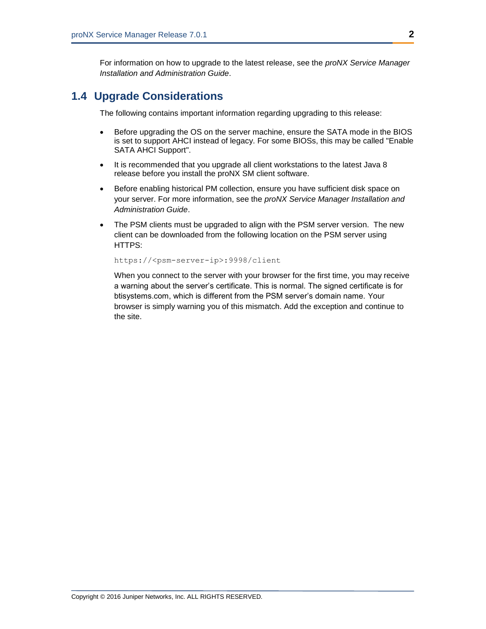For information on how to upgrade to the latest release, see the *proNX Service Manager Installation and Administration Guide*.

### <span id="page-9-0"></span>**1.4 Upgrade Considerations**

The following contains important information regarding upgrading to this release:

- Before upgrading the OS on the server machine, ensure the SATA mode in the BIOS is set to support AHCI instead of legacy. For some BIOSs, this may be called "Enable SATA AHCI Support".
- It is recommended that you upgrade all client workstations to the latest Java 8 release before you install the proNX SM client software.
- Before enabling historical PM collection, ensure you have sufficient disk space on your server. For more information, see the *proNX Service Manager Installation and Administration Guide*.
- The PSM clients must be upgraded to align with the PSM server version. The new client can be downloaded from the following location on the PSM server using HTTPS:

https://<psm-server-ip>:9998/client

When you connect to the server with your browser for the first time, you may receive a warning about the server's certificate. This is normal. The signed certificate is for btisystems.com, which is different from the PSM server's domain name. Your browser is simply warning you of this mismatch. Add the exception and continue to the site.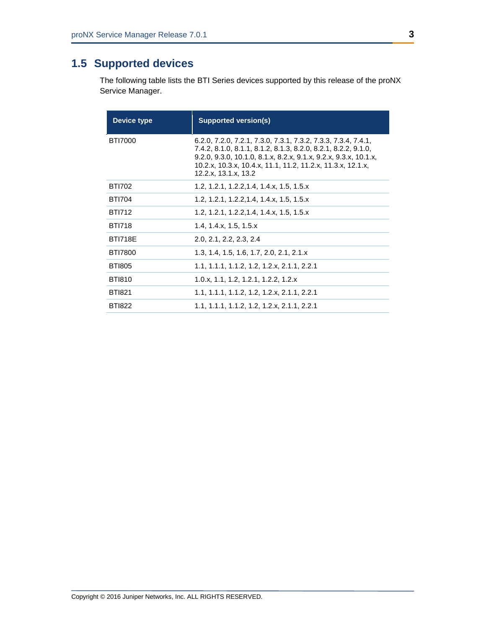## <span id="page-10-0"></span>**1.5 Supported devices**

The following table lists the BTI Series devices supported by this release of the proNX Service Manager.

| Device type    | <b>Supported version(s)</b>                                                                                                                                                                                                                                                                 |
|----------------|---------------------------------------------------------------------------------------------------------------------------------------------------------------------------------------------------------------------------------------------------------------------------------------------|
| <b>BTI7000</b> | 6.2.0, 7.2.0, 7.2.1, 7.3.0, 7.3.1, 7.3.2, 7.3.3, 7.3.4, 7.4.1,<br>7.4.2, 8.1.0, 8.1.1, 8.1.2, 8.1.3, 8.2.0, 8.2.1, 8.2.2, 9.1.0,<br>9.2.0, 9.3.0, 10.1.0, 8.1.x, 8.2.x, 9.1.x, 9.2.x, 9.3.x, 10.1.x,<br>10.2.x, 10.3.x, 10.4.x, 11.1, 11.2, 11.2.x, 11.3.x, 12.1.x,<br>12.2.x, 13.1.x, 13.2 |
| <b>BTI702</b>  | 1.2, 1.2.1, 1.2.2, 1.4, 1.4.x, 1.5, 1.5.x                                                                                                                                                                                                                                                   |
| <b>BTI704</b>  | 1.2, 1.2.1, 1.2.2,1.4, 1.4.x, 1.5, 1.5.x                                                                                                                                                                                                                                                    |
| <b>BTI712</b>  | 1.2, 1.2.1, 1.2.2, 1.4, 1.4.x, 1.5, 1.5.x                                                                                                                                                                                                                                                   |
| <b>BTI718</b>  | 1.4, 1.4.x, 1.5, 1.5.x                                                                                                                                                                                                                                                                      |
| <b>BTI718E</b> | 2.0, 2.1, 2.2, 2.3, 2.4                                                                                                                                                                                                                                                                     |
| <b>BTI7800</b> | 1.3, 1.4, 1.5, 1.6, 1.7, 2.0, 2.1, 2.1.x                                                                                                                                                                                                                                                    |
| <b>BTI805</b>  | 1.1, 1.1.1, 1.1.2, 1.2, 1.2.x, 2.1.1, 2.2.1                                                                                                                                                                                                                                                 |
| <b>BTI810</b>  | 1.0.x, 1.1, 1.2, 1.2.1, 1.2.2, 1.2.x                                                                                                                                                                                                                                                        |
| <b>BTI821</b>  | 1.1, 1.1.1, 1.1.2, 1.2, 1.2.x, 2.1.1, 2.2.1                                                                                                                                                                                                                                                 |
| <b>BTI822</b>  | 1.1, 1.1.1, 1.1.2, 1.2, 1.2.x, 2.1.1, 2.2.1                                                                                                                                                                                                                                                 |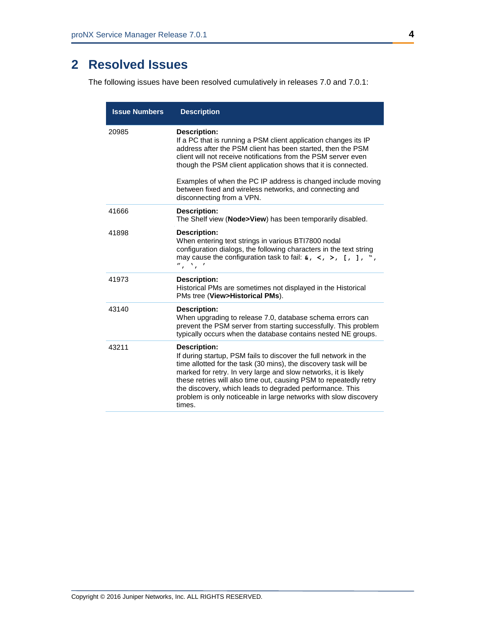## <span id="page-11-0"></span>**2 Resolved Issues**

The following issues have been resolved cumulatively in releases 7.0 and 7.0.1:

| <b>Issue Numbers</b> | <b>Description</b>                                                                                                                                                                                                                                                                                                                                                                                                                            |
|----------------------|-----------------------------------------------------------------------------------------------------------------------------------------------------------------------------------------------------------------------------------------------------------------------------------------------------------------------------------------------------------------------------------------------------------------------------------------------|
| 20985                | Description:<br>If a PC that is running a PSM client application changes its IP<br>address after the PSM client has been started, then the PSM<br>client will not receive notifications from the PSM server even<br>though the PSM client application shows that it is connected.<br>Examples of when the PC IP address is changed include moving<br>between fixed and wireless networks, and connecting and                                  |
|                      | disconnecting from a VPN.                                                                                                                                                                                                                                                                                                                                                                                                                     |
| 41666                | Description:<br>The Shelf view (Node>View) has been temporarily disabled.                                                                                                                                                                                                                                                                                                                                                                     |
| 41898                | <b>Description:</b><br>When entering text strings in various BTI7800 nodal<br>configuration dialogs, the following characters in the text string<br>may cause the configuration task to fail: $\epsilon$ , $\lt$ , $\gt$ , [, ], ",<br>$^{\prime\prime}$ , $\rightarrow$ , $^{\prime}$                                                                                                                                                        |
| 41973                | Description:<br>Historical PMs are sometimes not displayed in the Historical<br>PMs tree (View>Historical PMs).                                                                                                                                                                                                                                                                                                                               |
| 43140                | <b>Description:</b><br>When upgrading to release 7.0, database schema errors can<br>prevent the PSM server from starting successfully. This problem<br>typically occurs when the database contains nested NE groups.                                                                                                                                                                                                                          |
| 43211                | <b>Description:</b><br>If during startup, PSM fails to discover the full network in the<br>time allotted for the task (30 mins), the discovery task will be<br>marked for retry. In very large and slow networks, it is likely<br>these retries will also time out, causing PSM to repeatedly retry<br>the discovery, which leads to degraded performance. This<br>problem is only noticeable in large networks with slow discovery<br>times. |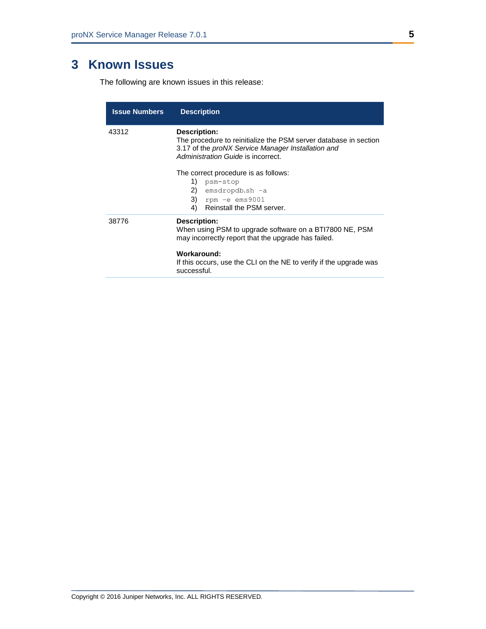## <span id="page-12-0"></span>**3 Known Issues**

The following are known issues in this release:

| <b>Issue Numbers</b> | <b>Description</b>                                                                                                                                                           |  |
|----------------------|------------------------------------------------------------------------------------------------------------------------------------------------------------------------------|--|
| 43312                | Description:<br>The procedure to reinitialize the PSM server database in section<br>3.17 of the proNX Service Manager Installation and<br>Administration Guide is incorrect. |  |
|                      | The correct procedure is as follows:<br>1)<br>psm-stop<br>2)<br>emsdropdb.sh -a<br>3)<br>rpm -e ems9001<br>4)<br>Reinstall the PSM server.                                   |  |
| 38776                | Description:<br>When using PSM to upgrade software on a BTI7800 NE, PSM<br>may incorrectly report that the upgrade has failed.                                               |  |
|                      | Workaround:<br>If this occurs, use the CLI on the NE to verify if the upgrade was<br>successful.                                                                             |  |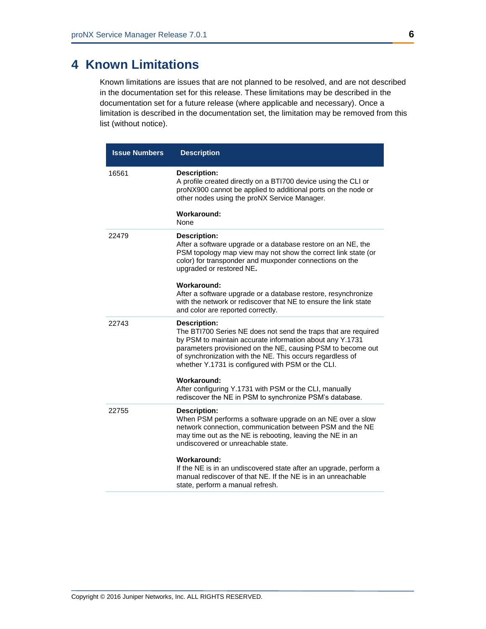## <span id="page-13-0"></span>**4 Known Limitations**

Known limitations are issues that are not planned to be resolved, and are not described in the documentation set for this release. These limitations may be described in the documentation set for a future release (where applicable and necessary). Once a limitation is described in the documentation set, the limitation may be removed from this list (without notice).

| <b>Issue Numbers</b> | <b>Description</b>                                                                                                                                                                                                                                                                                                          |
|----------------------|-----------------------------------------------------------------------------------------------------------------------------------------------------------------------------------------------------------------------------------------------------------------------------------------------------------------------------|
| 16561                | <b>Description:</b><br>A profile created directly on a BTI700 device using the CLI or<br>proNX900 cannot be applied to additional ports on the node or<br>other nodes using the proNX Service Manager.                                                                                                                      |
|                      | Workaround:<br>None                                                                                                                                                                                                                                                                                                         |
| 22479                | Description:<br>After a software upgrade or a database restore on an NE, the<br>PSM topology map view may not show the correct link state (or<br>color) for transponder and muxponder connections on the<br>upgraded or restored NE.                                                                                        |
|                      | Workaround:<br>After a software upgrade or a database restore, resynchronize<br>with the network or rediscover that NE to ensure the link state<br>and color are reported correctly.                                                                                                                                        |
| 22743                | Description:<br>The BTI700 Series NE does not send the traps that are required<br>by PSM to maintain accurate information about any Y.1731<br>parameters provisioned on the NE, causing PSM to become out<br>of synchronization with the NE. This occurs regardless of<br>whether Y.1731 is configured with PSM or the CLI. |
|                      | Workaround:<br>After configuring Y.1731 with PSM or the CLI, manually<br>rediscover the NE in PSM to synchronize PSM's database.                                                                                                                                                                                            |
| 22755                | <b>Description:</b><br>When PSM performs a software upgrade on an NE over a slow<br>network connection, communication between PSM and the NE<br>may time out as the NE is rebooting, leaving the NE in an<br>undiscovered or unreachable state.                                                                             |
|                      | Workaround:<br>If the NE is in an undiscovered state after an upgrade, perform a<br>manual rediscover of that NE. If the NE is in an unreachable<br>state, perform a manual refresh.                                                                                                                                        |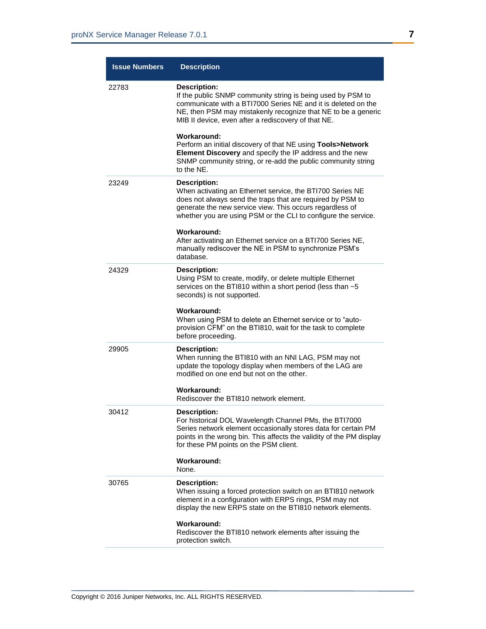| <b>Issue Numbers</b> | <b>Description</b>                                                                                                                                                                                                                                                           |
|----------------------|------------------------------------------------------------------------------------------------------------------------------------------------------------------------------------------------------------------------------------------------------------------------------|
| 22783                | <b>Description:</b><br>If the public SNMP community string is being used by PSM to<br>communicate with a BTI7000 Series NE and it is deleted on the<br>NE, then PSM may mistakenly recognize that NE to be a generic<br>MIB II device, even after a rediscovery of that NE.  |
|                      | Workaround:<br>Perform an initial discovery of that NE using Tools>Network<br>Element Discovery and specify the IP address and the new<br>SNMP community string, or re-add the public community string<br>to the NE.                                                         |
| 23249                | <b>Description:</b><br>When activating an Ethernet service, the BTI700 Series NE<br>does not always send the traps that are required by PSM to<br>generate the new service view. This occurs regardless of<br>whether you are using PSM or the CLI to configure the service. |
|                      | Workaround:<br>After activating an Ethernet service on a BTI700 Series NE,<br>manually rediscover the NE in PSM to synchronize PSM's<br>database.                                                                                                                            |
| 24329                | Description:<br>Using PSM to create, modify, or delete multiple Ethernet<br>services on the BTI810 within a short period (less than ~5<br>seconds) is not supported.                                                                                                         |
|                      | Workaround:<br>When using PSM to delete an Ethernet service or to "auto-<br>provision CFM" on the BTI810, wait for the task to complete<br>before proceeding.                                                                                                                |
| 29905                | Description:<br>When running the BTI810 with an NNI LAG, PSM may not<br>update the topology display when members of the LAG are<br>modified on one end but not on the other.                                                                                                 |
|                      | Workaround:<br>Rediscover the BTI810 network element.                                                                                                                                                                                                                        |
| 30412                | <b>Description:</b><br>For historical DOL Wavelength Channel PMs, the BTI7000<br>Series network element occasionally stores data for certain PM<br>points in the wrong bin. This affects the validity of the PM display<br>for these PM points on the PSM client.            |
|                      | Workaround:<br>None.                                                                                                                                                                                                                                                         |
| 30765                | <b>Description:</b><br>When issuing a forced protection switch on an BTI810 network<br>element in a configuration with ERPS rings, PSM may not<br>display the new ERPS state on the BTI810 network elements.                                                                 |
|                      | Workaround:<br>Rediscover the BTI810 network elements after issuing the<br>protection switch.                                                                                                                                                                                |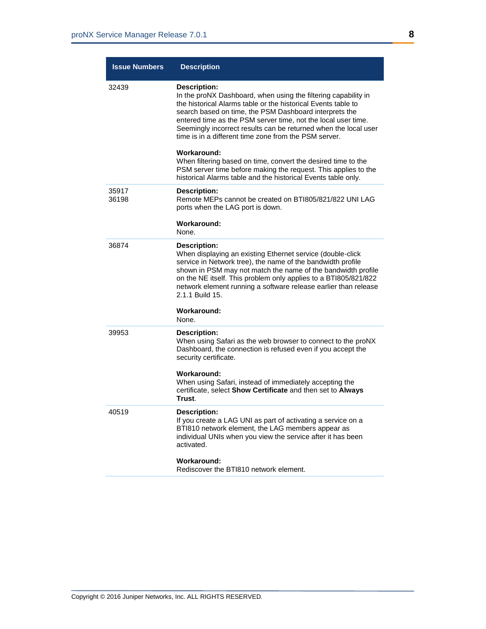| <b>Issue Numbers</b> | <b>Description</b>                                                                                                                                                                                                                                                                                                                                                                                            |
|----------------------|---------------------------------------------------------------------------------------------------------------------------------------------------------------------------------------------------------------------------------------------------------------------------------------------------------------------------------------------------------------------------------------------------------------|
| 32439                | <b>Description:</b><br>In the proNX Dashboard, when using the filtering capability in<br>the historical Alarms table or the historical Events table to<br>search based on time, the PSM Dashboard interprets the<br>entered time as the PSM server time, not the local user time.<br>Seemingly incorrect results can be returned when the local user<br>time is in a different time zone from the PSM server. |
|                      | Workaround:<br>When filtering based on time, convert the desired time to the<br>PSM server time before making the request. This applies to the<br>historical Alarms table and the historical Events table only.                                                                                                                                                                                               |
| 35917<br>36198       | Description:<br>Remote MEPs cannot be created on BTI805/821/822 UNI LAG<br>ports when the LAG port is down.                                                                                                                                                                                                                                                                                                   |
|                      | Workaround:<br>None.                                                                                                                                                                                                                                                                                                                                                                                          |
| 36874                | Description:<br>When displaying an existing Ethernet service (double-click<br>service in Network tree), the name of the bandwidth profile<br>shown in PSM may not match the name of the bandwidth profile<br>on the NE itself. This problem only applies to a BTI805/821/822<br>network element running a software release earlier than release<br>2.1.1 Build 15.                                            |
|                      | Workaround:<br>None.                                                                                                                                                                                                                                                                                                                                                                                          |
| 39953                | Description:<br>When using Safari as the web browser to connect to the proNX<br>Dashboard, the connection is refused even if you accept the<br>security certificate.                                                                                                                                                                                                                                          |
|                      | Workaround:<br>When using Safari, instead of immediately accepting the<br>certificate, select Show Certificate and then set to Always<br>Trust.                                                                                                                                                                                                                                                               |
| 40519                | <b>Description:</b><br>If you create a LAG UNI as part of activating a service on a<br>BTI810 network element, the LAG members appear as<br>individual UNIs when you view the service after it has been<br>activated.                                                                                                                                                                                         |
|                      | Workaround:<br>Rediscover the BTI810 network element.                                                                                                                                                                                                                                                                                                                                                         |